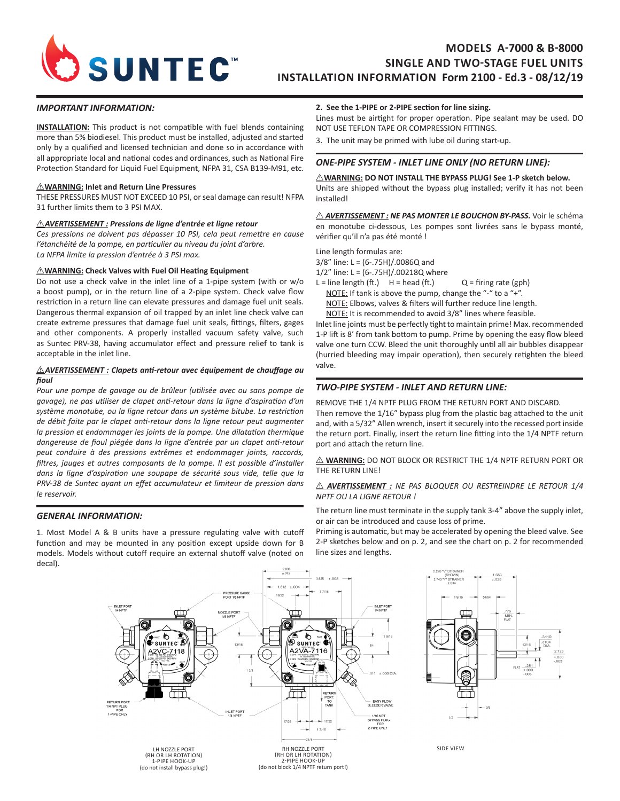

# **MODELS A-7000 & B-8000 SINGLE AND TWO-STAGE FUEL UNITS INSTALLATION INFORMATION Form 2100 - Ed.3 - 08/12/19**

#### *IMPORTANT INFORMATION:*

**INSTALLATION:** This product is not compatible with fuel blends containing more than 5% biodiesel. This product must be installed, adjusted and started only by a qualified and licensed technician and done so in accordance with all appropriate local and national codes and ordinances, such as National Fire Protection Standard for Liquid Fuel Equipment, NFPA 31, CSA B139-M91, etc.

#### I **WARNING: Inlet and Return Line Pressures**

THESE PRESSURES MUST NOT EXCEED 10 PSI, or seal damage can result! NFPA 31 further limits them to 3 PSI MAX.

#### I *AVERTISSEMENT : Pressions de ligne d'entrée et ligne retour*

*Ces pressions ne doivent pas dépasser 10 PSI, cela peut remettre en cause l'étanchéité de la pompe, en particulier au niveau du joint d'arbre. La NFPA limite la pression d'entrée à 3 PSI max.* 

#### **MARNING:** Check Valves with Fuel Oil Heating Equipment

Do not use a check valve in the inlet line of a 1-pipe system (with or w/o a boost pump), or in the return line of a 2-pipe system. Check valve flow restriction in a return line can elevate pressures and damage fuel unit seals. Dangerous thermal expansion of oil trapped by an inlet line check valve can create extreme pressures that damage fuel unit seals, fittings, filters, gages and other components. A properly installed vacuum safety valve, such as Suntec PRV-38, having accumulator effect and pressure relief to tank is acceptable in the inlet line.

#### **AVERTISSEMENT** : Clapets anti-retour avec équipement de chauffage au *fioul*

*Pour une pompe de gavage ou de brûleur (utilisée avec ou sans pompe de gavage), ne pas utiliser de clapet anti-retour dans la ligne d'aspiration d'un système monotube, ou la ligne retour dans un système bitube. La restriction de débit faite par le clapet anti-retour dans la ligne retour peut augmenter la pression et endommager les joints de la pompe. Une dilatation thermique dangereuse de fioul piégée dans la ligne d'entrée par un clapet anti-retour peut conduire à des pressions extrêmes et endommager joints, raccords, filtres, jauges et autres composants de la pompe. Il est possible d'installer dans la ligne d'aspiration une soupape de sécurité sous vide, telle que la PRV-38 de Suntec ayant un effet accumulateur et limiteur de pression dans le reservoir.*

#### *GENERAL INFORMATION:*

1. Most Model A & B units have a pressure regulating valve with cutoff function and may be mounted in any position except upside down for B models. Models without cutoff require an external shutoff valve (noted on decal).

#### **2. See the 1-PIPE or 2-PIPE section for line sizing.**

Lines must be airtight for proper operation. Pipe sealant may be used. DO NOT USE TEFLON TAPE OR COMPRESSION FITTINGS.

3. The unit may be primed with lube oil during start-up.

### *ONE-PIPE SYSTEM - INLET LINE ONLY (NO RETURN LINE):*

 $\triangle$ WARNING: DO NOT INSTALL THE BYPASS PLUG! See 1-P sketch below. Units are shipped without the bypass plug installed; verify it has not been installed!

 $\triangle$  **AVERTISSEMENT : NE PAS MONTER LE BOUCHON BY-PASS.** Voir le schéma en monotube ci-dessous, Les pompes sont livrées sans le bypass monté, vérifier qu'il n'a pas été monté !

Line length formulas are: 3/8" line: L = (6-.75H)/.0086Q and

1/2" line: L = (6-.75H)/.00218Q where

L = line length (ft.)  $H = head (ft.)$  Q = firing rate (gph)

NOTE: If tank is above the pump, change the "-" to a "+".

NOTE: Elbows, valves & filters will further reduce line length.

NOTE: It is recommended to avoid 3/8" lines where feasible.

Inlet line joints must be perfectly tight to maintain prime! Max. recommended 1-P lift is 8' from tank bottom to pump. Prime by opening the easy flow bleed valve one turn CCW. Bleed the unit thoroughly until all air bubbles disappear (hurried bleeding may impair operation), then securely retighten the bleed valve.

#### *TWO-PIPE SYSTEM - INLET AND RETURN LINE:*

REMOVE THE 1/4 NPTF PLUG FROM THE RETURN PORT AND DISCARD. Then remove the 1/16" bypass plug from the plastic bag attached to the unit and, with a 5/32" Allen wrench, insert it securely into the recessed port inside the return port. Finally, insert the return line fitting into the 1/4 NPTF return port and attach the return line.

 $\triangle$  **WARNING:** DO NOT BLOCK OR RESTRICT THE 1/4 NPTF RETURN PORT OR THE RETURN LINE!

#### $\triangle$  **AVERTISSEMENT** : NE PAS BLOQUER OU RESTREINDRE LE RETOUR 1/4 *NPTF OU LA LIGNE RETOUR !*

The return line must terminate in the supply tank 3-4" above the supply inlet, or air can be introduced and cause loss of prime.

Priming is automatic, but may be accelerated by opening the bleed valve. See 2-P sketches below and on p. 2, and see the chart on p. 2 for recommended line sizes and lengths.